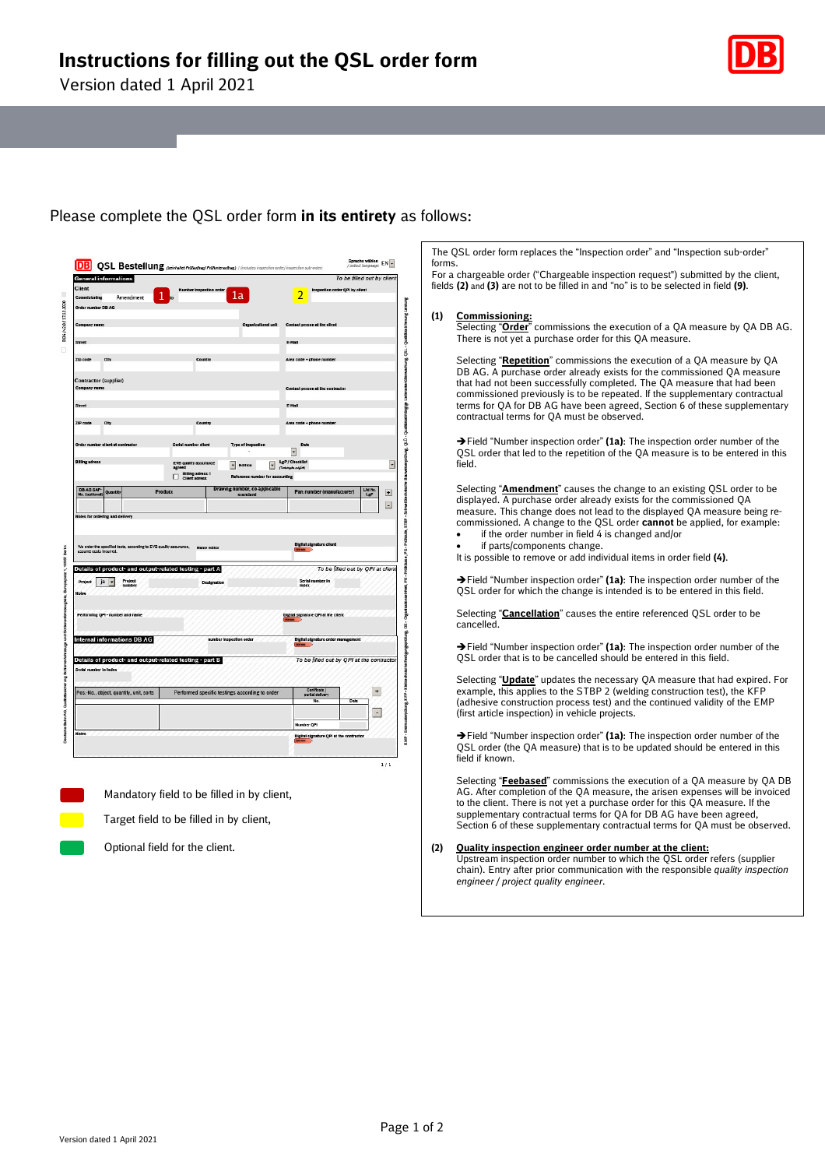Version dated 1 April 2021



Please complete the QSL order form **in its entirety** as follows:

The QSL order form replaces the "Inspection order" and "Inspection sub-order" forms.

For a chargeable order ("Chargeable inspection request") submitted by the client, fields **(2)** and **(3)** are not to be filled in and "no" is to be selected in field **(9)**.

# **(1) Commissioning:**

Selecting "**Order**" commissions the execution of a QA measure by QA DB AG. There is not yet a purchase order for this QA measure.

Selecting "**Repetition**" commissions the execution of a QA measure by QA DB AG. A purchase order already exists for the commissioned QA measure that had not been successfully completed. The QA measure that had been commissioned previously is to be repeated. If the supplementary contractual terms for QA for DB AG have been agreed, Section 6 of these supplementary contractual terms for QA must be observed.

Field "Number inspection order" **(1a)**: The inspection order number of the QSL order that led to the repetition of the QA measure is to be entered in this field.

Selecting "**Amendment**" causes the change to an existing QSL order to be displayed. A purchase order already exists for the commissioned QA measure. This change does not lead to the displayed QA measure being recommissioned. A change to the QSL order **cannot** be applied, for example: if the order number in field  $\ddot{4}$  is changed and/or

if parts/components change.

It is possible to remove or add individual items in order field **(4)**.

Field "Number inspection order" **(1a)**: The inspection order number of the QSL order for which the change is intended is to be entered in this field.

Selecting "**Cancellation**" causes the entire referenced QSL order to be cancelled.

Field "Number inspection order" **(1a)**: The inspection order number of the QSL order that is to be cancelled should be entered in this field.

Selecting "**Update**" updates the necessary QA measure that had expired. For example, this applies to the STBP 2 (welding construction test), the KFP (adhesive construction process test) and the continued validity of the EMP (first article inspection) in vehicle projects.

Field "Number inspection order" **(1a)**: The inspection order number of the QSL order (the QA measure) that is to be updated should be entered in this field if known.

Selecting "**Feebased**" commissions the execution of a QA measure by QA DB AG. After completion of the QA measure, the arisen expenses will be invoiced to the client. There is not yet a purchase order for this QA measure. If the supplementary contractual terms for QA for DB AG have been agreed, Section 6 of these supplementary contractual terms for QA must be observed.

# **(2) Quality inspection engineer order number at the client:**

Upstream inspection order number to which the QSL order refers (supplier chain). Entry after prior communication with the responsible *quality inspection engineer / project quality engineer*.

Optional field for the client.

Target field to be filled in by client,